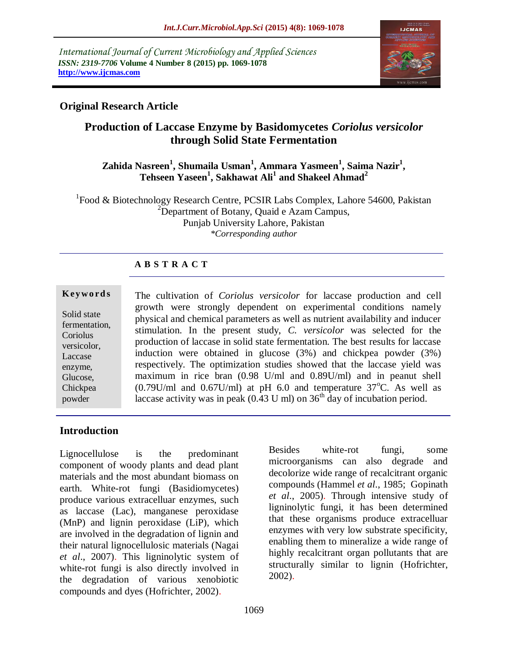*International Journal of Current Microbiology and Applied Sciences ISSN: 2319-7706* **Volume 4 Number 8 (2015) pp. 1069-1078 http://www.ijcmas.com** 



# **Original Research Article**

# **Production of Laccase Enzyme by Basidomycetes** *Coriolus versicolor* **through Solid State Fermentation**

## **Zahida Nasreen<sup>1</sup> , Shumaila Usman<sup>1</sup> , Ammara Yasmeen<sup>1</sup> , Saima Nazir<sup>1</sup> , Tehseen Yaseen<sup>1</sup> , Sakhawat Ali<sup>1</sup> and Shakeel Ahmad<sup>2</sup>**

<sup>1</sup> Food & Biotechnology Research Centre, PCSIR Labs Complex, Lahore 54600, Pakistan  $2$ Department of Botany, Quaid e Azam Campus, Punjab University Lahore, Pakistan *\*Corresponding author*

## **A B S T R A C T**

#### **K ey w o rd s**

Solid state fermentation, Coriolus versicolor, Laccase enzyme, Glucose, Chickpea powder

The cultivation of *Coriolus versicolor* for laccase production and cell growth were strongly dependent on experimental conditions namely physical and chemical parameters as well as nutrient availability and inducer stimulation. In the present study, *C. versicolor* was selected for the production of laccase in solid state fermentation. The best results for laccase induction were obtained in glucose (3%) and chickpea powder (3%) respectively. The optimization studies showed that the laccase yield was maximum in rice bran (0.98 U/ml and 0.89U/ml) and in peanut shell  $(0.79$ U/ml and  $0.67$ U/ml) at pH 6.0 and temperature  $37^{\circ}$ C. As well as laccase activity was in peak  $(0.43 \text{ U ml})$  on  $36^{\text{th}}$  day of incubation period.

## **Introduction**

Lignocellulose is the predominant component of woody plants and dead plant materials and the most abundant biomass on earth. White-rot fungi (Basidiomycetes) produce various extracelluar enzymes, such as laccase (Lac), manganese peroxidase (MnP) and lignin peroxidase (LiP), which are involved in the degradation of lignin and their natural lignocellulosic materials (Nagai *et al*., 2007). This ligninolytic system of white-rot fungi is also directly involved in the degradation of various xenobiotic compounds and dyes (Hofrichter, 2002).

Besides white-rot fungi, some microorganisms can also degrade and decolorize wide range of recalcitrant organic compounds (Hammel *et al*., 1985; Gopinath *et al*., 2005). Through intensive study of ligninolytic fungi, it has been determined that these organisms produce extracelluar enzymes with very low substrate specificity, enabling them to mineralize a wide range of highly recalcitrant organ pollutants that are structurally similar to lignin (Hofrichter, 2002).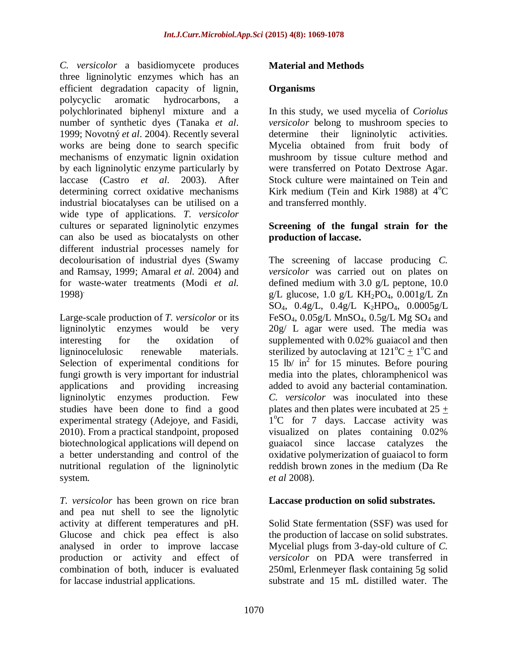*C. versicolor* a basidiomycete produces three ligninolytic enzymes which has an efficient degradation capacity of lignin, polycyclic aromatic hydrocarbons, a polychlorinated biphenyl mixture and a number of synthetic dyes [\(Tanaka](http://www.ejbiotechnology.info/content/vol10/issue3/full/1/index.html#31) *et al*. [1999;](http://www.ejbiotechnology.info/content/vol10/issue3/full/1/index.html#31) [Novotný](http://www.ejbiotechnology.info/content/vol10/issue3/full/1/index.html#22) *et al*. 2004). Recently several works are being done to search specific mechanisms of enzymatic lignin oxidation by each ligninolytic enzyme particularly by laccase (Castro *et al*[. 2003\)](http://www.ejbiotechnology.info/content/vol10/issue3/full/1/index.html#6). After determining correct oxidative mechanisms industrial biocatalyses can be utilised on a wide type of applications. *T. versicolor* cultures or separated ligninolytic enzymes can also be used as biocatalysts on other different industrial processes namely for decolourisation of industrial dyes [\(Swamy](http://www.ejbiotechnology.info/content/vol10/issue3/full/1/index.html#30)  [and Ramsay, 1999;](http://www.ejbiotechnology.info/content/vol10/issue3/full/1/index.html#30) [Amaral](http://www.ejbiotechnology.info/content/vol10/issue3/full/1/index.html#1) *et al.* 2004) and for waste-water treatments [\(Modi](http://www.ejbiotechnology.info/content/vol10/issue3/full/1/index.html#21) *et al.* [1998\)](http://www.ejbiotechnology.info/content/vol10/issue3/full/1/index.html#21) .

Large-scale production of *T. versicolor* or its ligninolytic enzymes would be very interesting for the oxidation of ligninocelulosic renewable materials. Selection of experimental conditions for fungi growth is very important for industrial applications and providing increasing ligninolytic enzymes production. Few studies have been done to find a good experimental strategy (Adejoye, and Fasidi, 2010). From a practical standpoint, proposed biotechnological applications will depend on a better understanding and control of the nutritional regulation of the ligninolytic system.

*T. versicolor* has been grown on rice bran and pea nut shell to see the lignolytic activity at different temperatures and pH. Glucose and chick pea effect is also analysed in order to improve laccase production or activity and effect of combination of both, inducer is evaluated for laccase industrial applications.

## **Material and Methods**

#### **Organisms**

In this study, we used mycelia of *Coriolus versicolor* belong to mushroom species to determine their ligninolytic activities. Mycelia obtained from fruit body of mushroom by tissue culture method and were transferred on Potato Dextrose Agar. Stock culture were maintained on Tein and Kirk medium (Tein and Kirk 1988) at  $4^{\circ}$ C and transferred monthly.

## **Screening of the fungal strain for the production of laccase.**

The screening of laccase producing *C. versicolor* was carried out on plates on defined medium with 3.0 g/L peptone, 10.0 g/L glucose,  $1.0$  g/L KH<sub>2</sub>PO<sub>4</sub>,  $0.001$ g/L Zn  $SO_4$ ,  $0.4g/L$ ,  $0.4g/L$  K<sub>2</sub>HPO<sub>4</sub>,  $0.0005g/L$ FeSO<sub>4</sub>,  $0.05g/L$  MnSO<sub>4</sub>,  $0.5g/L$  Mg SO<sub>4</sub> and 20g/ L agar were used. The media was supplemented with 0.02% guaiacol and then sterilized by autoclaving at  $121^{\circ}C \pm 1^{\circ}C$  and 15 lb/ in<sup>2</sup> for 15 minutes. Before pouring media into the plates, chloramphenicol was added to avoid any bacterial contamination. *C. versicolor* was inoculated into these plates and then plates were incubated at 25 +  $1^{\circ}$ C for 7 days. Laccase activity was visualized on plates containing 0.02% guaiacol since laccase catalyzes the oxidative polymerization of guaiacol to form reddish brown zones in the medium (Da Re *et al* 2008).

## **Laccase production on solid substrates.**

Solid State fermentation (SSF) was used for the production of laccase on solid substrates. Mycelial plugs from 3-day-old culture of *C. versicolor* on PDA were transferred in 250ml, Erlenmeyer flask containing 5g solid substrate and 15 mL distilled water. The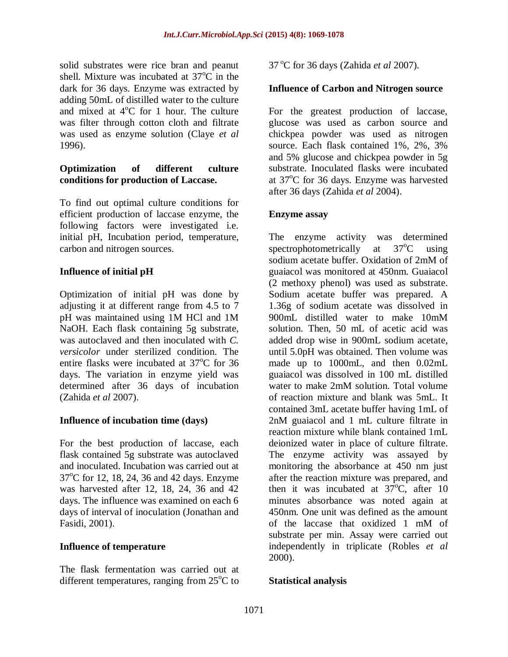solid substrates were rice bran and peanut shell. Mixture was incubated at  $37^{\circ}$ C in the dark for 36 days. Enzyme was extracted by adding 50mL of distilled water to the culture and mixed at  $4^{\circ}$ C for 1 hour. The culture was filter through cotton cloth and filtrate was used as enzyme solution (Claye *et al* 1996).

#### **Optimization of different culture conditions for production of Laccase.**

To find out optimal culture conditions for efficient production of laccase enzyme, the following factors were investigated i.e. initial pH, Incubation period, temperature, carbon and nitrogen sources.

## **Influence of initial pH**

Optimization of initial pH was done by adjusting it at different range from 4.5 to 7 pH was maintained using 1M HCl and 1M NaOH. Each flask containing 5g substrate, was autoclaved and then inoculated with *C. versicolor* under sterilized condition. The entire flasks were incubated at  $37^{\circ}$ C for 36 days. The variation in enzyme yield was determined after 36 days of incubation (Zahida *et al* 2007).

## **Influence of incubation time (days)**

For the best production of laccase, each flask contained 5g substrate was autoclaved and inoculated. Incubation was carried out at  $37^{\circ}$ C for 12, 18, 24, 36 and 42 days. Enzyme was harvested after 12, 18, 24, 36 and 42 days. The influence was examined on each 6 days of interval of inoculation (Jonathan and Fasidi, 2001).

## **Influence of temperature**

The flask fermentation was carried out at different temperatures, ranging from  $25^{\circ}$ C to 37 <sup>o</sup>C for 36 days (Zahida *et al* 2007).

#### **Influence of Carbon and Nitrogen source**

For the greatest production of laccase, glucose was used as carbon source and chickpea powder was used as nitrogen source. Each flask contained 1%, 2%, 3% and 5% glucose and chickpea powder in 5g substrate. Inoculated flasks were incubated at  $37^{\circ}$ C for 36 days. Enzyme was harvested after 36 days (Zahida *et al* 2004).

#### **Enzyme assay**

The enzyme activity was determined spectrophotometrically at  $37^{\circ}$ C using sodium acetate buffer. Oxidation of 2mM of guaiacol was monitored at 450nm. Guaiacol (2 methoxy phenol) was used as substrate. Sodium acetate buffer was prepared. A 1.36g of sodium acetate was dissolved in 900mL distilled water to make 10mM solution. Then, 50 mL of acetic acid was added drop wise in 900mL sodium acetate, until 5.0pH was obtained. Then volume was made up to 1000mL, and then 0.02mL guaiacol was dissolved in 100 mL distilled water to make 2mM solution. Total volume of reaction mixture and blank was 5mL. It contained 3mL acetate buffer having 1mL of 2nM guaiacol and 1 mL culture filtrate in reaction mixture while blank contained 1mL deionized water in place of culture filtrate. The enzyme activity was assayed by monitoring the absorbance at 450 nm just after the reaction mixture was prepared, and then it was incubated at  $37^{\circ}$ C, after 10 minutes absorbance was noted again at 450nm. One unit was defined as the amount of the laccase that oxidized 1 mM of substrate per min. Assay were carried out independently in triplicate (Robles *et al* 2000).

#### **Statistical analysis**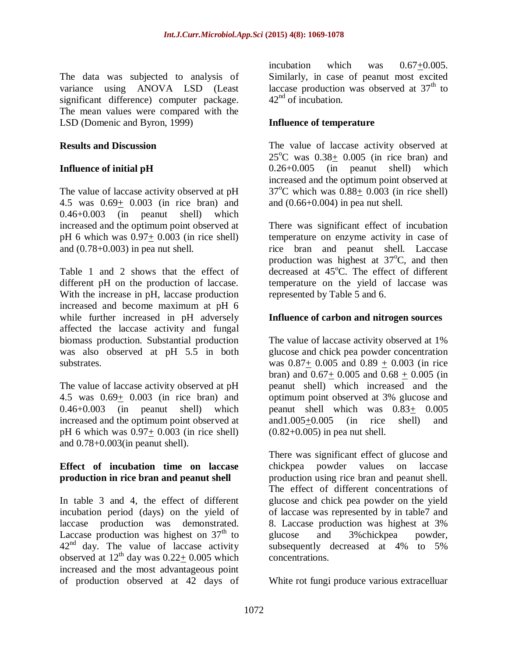The data was subjected to analysis of variance using ANOVA LSD (Least significant difference) computer package. The mean values were compared with the LSD (Domenic and Byron, 1999)

#### **Results and Discussion**

## **Influence of initial pH**

The value of laccase activity observed at pH 4.5 was 0.69+ 0.003 (in rice bran) and 0.46+0.003 (in peanut shell) which increased and the optimum point observed at pH 6 which was 0.97+ 0.003 (in rice shell) and (0.78+0.003) in pea nut shell.

Table 1 and 2 shows that the effect of different pH on the production of laccase. With the increase in pH, laccase production increased and become maximum at pH 6 while further increased in pH adversely affected the laccase activity and fungal biomass production. Substantial production was also observed at pH 5.5 in both substrates.

The value of laccase activity observed at pH 4.5 was 0.69+ 0.003 (in rice bran) and 0.46+0.003 (in peanut shell) which increased and the optimum point observed at pH 6 which was 0.97+ 0.003 (in rice shell) and 0.78+0.003(in peanut shell).

## **Effect of incubation time on laccase production in rice bran and peanut shell**

In table 3 and 4, the effect of different incubation period (days) on the yield of laccase production was demonstrated. Laccase production was highest on  $37<sup>th</sup>$  to  $42<sup>nd</sup>$  day. The value of laccase activity observed at  $12<sup>th</sup>$  day was  $0.22+0.005$  which increased and the most advantageous point of production observed at 42 days of

incubation which was 0.67+0.005. Similarly, in case of peanut most excited laccase production was observed at  $37<sup>th</sup>$  to  $42<sup>nd</sup>$  of incubation.

## **Influence of temperature**

The value of laccase activity observed at  $25^{\circ}$ C was  $0.38+0.005$  (in rice bran) and 0.26+0.005 (in peanut shell) which increased and the optimum point observed at  $37^{\circ}$ C which was  $0.88+0.003$  (in rice shell) and (0.66+0.004) in pea nut shell.

There was significant effect of incubation temperature on enzyme activity in case of rice bran and peanut shell. Laccase production was highest at  $37^{\circ}$ C, and then decreased at  $45^{\circ}$ C. The effect of different temperature on the yield of laccase was represented by Table 5 and 6.

## **Influence of carbon and nitrogen sources**

The value of laccase activity observed at 1% glucose and chick pea powder concentration was 0.87+ 0.005 and 0.89 + 0.003 (in rice bran) and  $0.67+0.005$  and  $0.68+0.005$  (in peanut shell) which increased and the optimum point observed at 3% glucose and peanut shell which was 0.83+ 0.005 and1.005+0.005 (in rice shell) and (0.82+0.005) in pea nut shell.

There was significant effect of glucose and chickpea powder values on laccase production using rice bran and peanut shell. The effect of different concentrations of glucose and chick pea powder on the yield of laccase was represented by in table7 and 8. Laccase production was highest at 3% glucose and 3%chickpea powder, subsequently decreased at 4% to 5% concentrations.

White rot fungi produce various extracelluar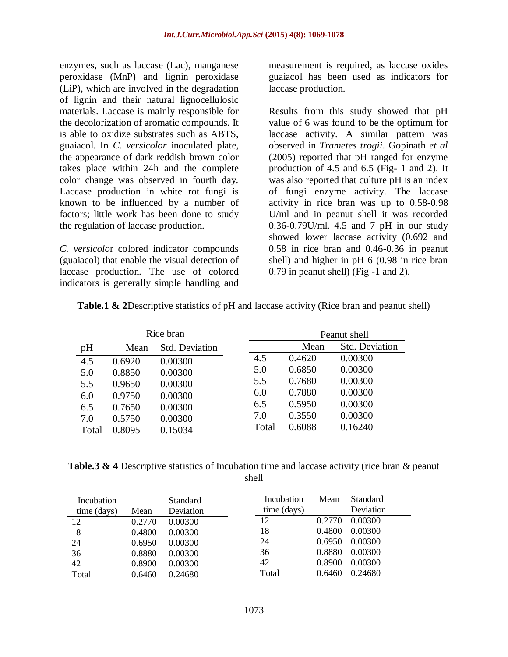enzymes, such as laccase (Lac), manganese peroxidase (MnP) and lignin peroxidase (LiP), which are involved in the degradation of lignin and their natural lignocellulosic materials. Laccase is mainly responsible for the decolorization of aromatic compounds. It is able to oxidize substrates such as ABTS, guaiacol. In *C. versicolor* inoculated plate, the appearance of dark reddish brown color takes place within 24h and the complete color change was observed in fourth day. Laccase production in white rot fungi is known to be influenced by a number of factors; little work has been done to study the regulation of laccase production.

*C. versicolo*r colored indicator compounds (guaiacol) that enable the visual detection of laccase production. The use of colored indicators is generally simple handling and

measurement is required, as laccase oxides guaiacol has been used as indicators for laccase production.

Results from this study showed that pH value of 6 was found to be the optimum for laccase activity. A similar pattern was observed in *Trametes trogii*. Gopinath *et al* (2005) reported that pH ranged for enzyme production of 4.5 and 6.5 (Fig- 1 and 2). It was also reported that culture pH is an index of fungi enzyme activity. The laccase activity in rice bran was up to 0.58-0.98 U/ml and in peanut shell it was recorded 0.36-0.79U/ml. 4.5 and 7 pH in our study showed lower laccase activity (0.692 and 0.58 in rice bran and 0.46-0.36 in peanut shell) and higher in pH 6 (0.98 in rice bran 0.79 in peanut shell) (Fig -1 and 2).

| Rice bran |        |                       |       | Peanut shell |                       |  |
|-----------|--------|-----------------------|-------|--------------|-----------------------|--|
| pH        | Mean   | <b>Std. Deviation</b> |       | Mean         | <b>Std.</b> Deviation |  |
| 4.5       | 0.6920 | 0.00300               | 4.5   | 0.4620       | 0.00300               |  |
| 5.0       | 0.8850 | 0.00300               | 5.0   | 0.6850       | 0.00300               |  |
| 5.5       | 0.9650 | 0.00300               | 5.5   | 0.7680       | 0.00300               |  |
| 6.0       | 0.9750 | 0.00300               | 6.0   | 0.7880       | 0.00300               |  |
| 6.5       | 0.7650 | 0.00300               | 6.5   | 0.5950       | 0.00300               |  |
| 7.0       | 0.5750 | 0.00300               | 7.0   | 0.3550       | 0.00300               |  |
| Total     | 0.8095 | 0.15034               | Total | 0.6088       | 0.16240               |  |

| <b>Table.1 &amp; 2Descriptive statistics of pH and laccase activity (Rice bran and peanut shell)</b> |  |  |  |
|------------------------------------------------------------------------------------------------------|--|--|--|
|------------------------------------------------------------------------------------------------------|--|--|--|

**Table.3 & 4** Descriptive statistics of Incubation time and laccase activity (rice bran & peanut shell

| Incubation<br>time (days) | Mean   | <b>Standard</b><br>Deviation | Incubation<br>time (days) | Mean   | <b>Standard</b><br>Deviation |
|---------------------------|--------|------------------------------|---------------------------|--------|------------------------------|
| 12                        | 0.2770 | 0.00300                      | 12                        | 0.2770 | 0.00300                      |
| 18                        | 0.4800 | 0.00300                      | 18                        | 0.4800 | 0.00300                      |
| 24                        | 0.6950 | 0.00300                      | 24                        | 0.6950 | 0.00300                      |
| 36                        | 0.8880 | 0.00300                      | 36                        | 0.8880 | 0.00300                      |
| 42                        | 0.8900 | 0.00300                      | 42                        | 0.8900 | 0.00300                      |
| Total                     | 0.6460 | 0.24680                      | Total                     | 0.6460 | 0.24680                      |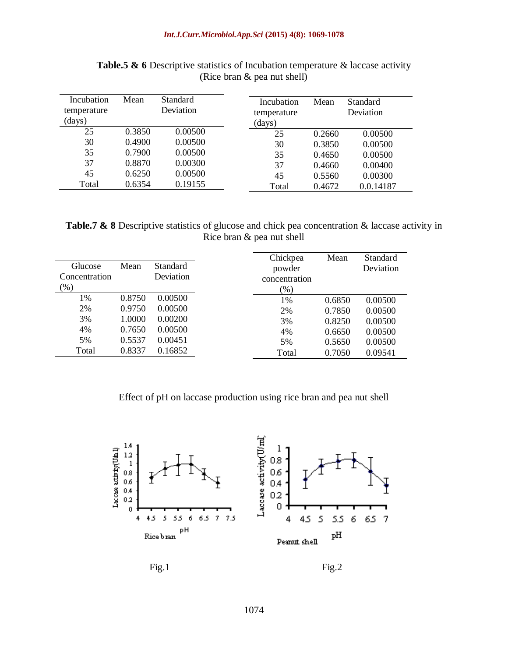| Incubation<br>temperature<br>(days) | Mean   | Standard<br>Deviation | Incubation<br>temperature<br>(days) | Mean   | <b>Standard</b><br>Deviation |
|-------------------------------------|--------|-----------------------|-------------------------------------|--------|------------------------------|
| 25                                  | 0.3850 | 0.00500               | 25                                  | 0.2660 | 0.00500                      |
| 30                                  | 0.4900 | 0.00500               | 30                                  | 0.3850 | 0.00500                      |
| 35                                  | 0.7900 | 0.00500               | 35                                  | 0.4650 | 0.00500                      |
| 37                                  | 0.8870 | 0.00300               | 37                                  | 0.4660 | 0.00400                      |
| 45                                  | 0.6250 | 0.00500               | 45                                  | 0.5560 | 0.00300                      |
| Total                               | 0.6354 | 0.19155               | Total                               | 0.4672 | 0.0.14187                    |

Table.5 & 6 Descriptive statistics of Incubation temperature & laccase activity (Rice bran & pea nut shell)

**Table.7 & 8** Descriptive statistics of glucose and chick pea concentration & laccase activity in Rice bran & pea nut shell

|               |        |                 | Chickpea      | Mean   | Standard  |
|---------------|--------|-----------------|---------------|--------|-----------|
| Glucose       | Mean   | <b>Standard</b> | powder        |        | Deviation |
| Concentration |        | Deviation       | concentration |        |           |
| $(\%)$        |        |                 | (%)           |        |           |
| 1%            | 0.8750 | 0.00500         | 1%            | 0.6850 | 0.00500   |
| 2%            | 0.9750 | 0.00500         | 2%            | 0.7850 | 0.00500   |
| 3%            | 1.0000 | 0.00200         | 3%            | 0.8250 | 0.00500   |
| 4%            | 0.7650 | 0.00500         | 4%            | 0.6650 | 0.00500   |
| 5%            | 0.5537 | 0.00451         | 5%            | 0.5650 | 0.00500   |
| Total         | 0.8337 | 0.16852         | Total         | 0.7050 | 0.09541   |

#### Effect of pH on laccase production using rice bran and pea nut shell



 $Fig.1$  Fig. 2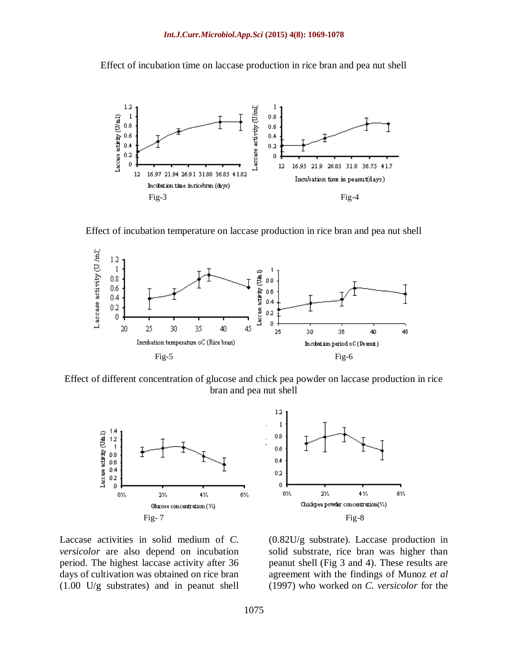Effect of incubation time on laccase production in rice bran and pea nut shell



Effect of incubation temperature on laccase production in rice bran and pea nut shell



Effect of different concentration of glucose and chick pea powder on laccase production in rice bran and pea nut shell



Laccase activities in solid medium of *C. versicolor* are also depend on incubation period. The highest laccase activity after 36 days of cultivation was obtained on rice bran (1.00 U/g substrates) and in peanut shell



(0.82U/g substrate). Laccase production in solid substrate, rice bran was higher than peanut shell (Fig 3 and 4). These results are agreement with the findings of Munoz *et al* (1997) who worked on *C. versicolor* for the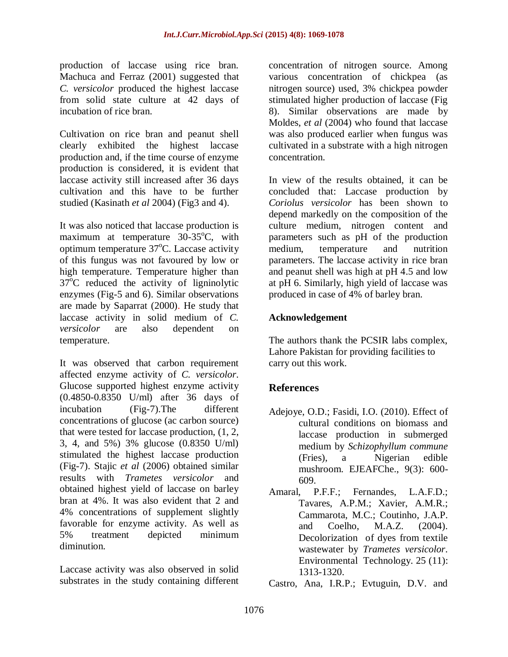production of laccase using rice bran. Machuca and Ferraz (2001) suggested that *C. versicolor* produced the highest laccase from solid state culture at 42 days of incubation of rice bran.

Cultivation on rice bran and peanut shell clearly exhibited the highest laccase production and, if the time course of enzyme production is considered, it is evident that laccase activity still increased after 36 days cultivation and this have to be further studied (Kasinath *et al* 2004) (Fig3 and 4).

It was also noticed that laccase production is maximum at temperature  $30-35^{\circ}$ C, with optimum temperature  $37^{\circ}$ C. Laccase activity of this fungus was not favoured by low or high temperature. Temperature higher than  $37^{\circ}$ C reduced the activity of ligninolytic enzymes (Fig-5 and 6). Similar observations are made by Saparrat (2000). He study that laccase activity in solid medium of *C. versicolor* are also dependent on temperature.

It was observed that carbon requirement affected enzyme activity of *C. versicolor*. Glucose supported highest enzyme activity (0.4850-0.8350 U/ml) after 36 days of incubation (Fig-7).The different concentrations of glucose (ac carbon source) that were tested for laccase production, (1, 2, 3, 4, and 5%) 3% glucose (0.8350 U/ml) stimulated the highest laccase production (Fig-7). Stajic *et al* (2006) obtained similar results with *Trametes versicolor* and obtained highest yield of laccase on barley bran at 4%. It was also evident that 2 and 4% concentrations of supplement slightly favorable for enzyme activity. As well as 5% treatment depicted minimum diminution.

Laccase activity was also observed in solid substrates in the study containing different concentration of nitrogen source. Among various concentration of chickpea (as nitrogen source) used, 3% chickpea powder stimulated higher production of laccase (Fig 8). Similar observations are made by Moldes, *et al* (2004) who found that laccase was also produced earlier when fungus was cultivated in a substrate with a high nitrogen concentration.

In view of the results obtained, it can be concluded that: Laccase production by *Coriolus versicolor* has been shown to depend markedly on the composition of the culture medium, nitrogen content and parameters such as pH of the production medium, temperature and nutrition parameters. The laccase activity in rice bran and peanut shell was high at pH 4.5 and low at pH 6. Similarly, high yield of laccase was produced in case of 4% of barley bran.

## **Acknowledgement**

The authors thank the PCSIR labs complex, Lahore Pakistan for providing facilities to carry out this work.

# **References**

- Adejoye, O.D.; Fasidi, I.O. (2010). Effect of cultural conditions on biomass and laccase production in submerged medium by *Schizophyllum commune*  (Fries), a Nigerian edible mushroom. EJEAFChe., 9(3): 600- 609.
- Amaral, P.F.F.; Fernandes, L.A.F.D.; Tavares, A.P.M.; Xavier, A.M.R.; Cammarota, M.C.; Coutinho, J.A.P. and Coelho, M.A.Z. (2004). Decolorization of dyes from textile wastewater by *Trametes versicolor*. Environmental Technology. 25 (11): 1313-1320.
- Castro, Ana, I.R.P.; Evtuguin, D.V. and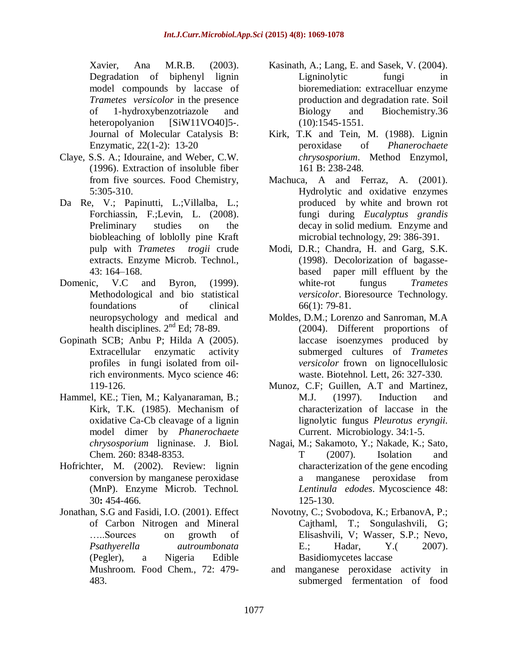Xavier, Ana M.R.B. (2003). Degradation of biphenyl lignin model compounds by laccase of *Trametes versicolor* in the presence of 1-hydroxybenzotriazole and heteropolyanion [SiW11VO40]5-. Journal of Molecular Catalysis B: Enzymatic, 22(1-2): 13-20

- Claye, S.S. A.; Idouraine, and Weber, C.W. (1996). Extraction of insoluble fiber from five sources. Food Chemistry, 5:305-310.
- Da Re, V.; Papinutti, L.; Villalba, L.; Forchiassin, F.;Levin, L. (2008). Preliminary studies on the biobleaching of loblolly pine Kraft pulp with *Trametes trogii* crude extracts. Enzyme Microb. Technol., 43: 164–168.
- Domenic, V.C and Byron, (1999). Methodological and bio statistical foundations of clinical neuropsychology and medical and health disciplines.  $2<sup>nd</sup>$  Ed; 78-89.
- Gopinath SCB; Anbu P; Hilda A (2005). Extracellular enzymatic activity profiles in fungi isolated from oilrich environments. Myco science 46: 119-126.
- Hammel, KE.; Tien, M.; Kalyanaraman, B.; Kirk, T.K. (1985). Mechanism of oxidative Ca-Cb cleavage of a lignin model dimer by *Phanerochaete chrysosporium* ligninase. J. Biol. Chem. 260: 8348-8353.
- Hofrichter, M. (2002). Review: lignin conversion by manganese peroxidase (MnP). Enzyme Microb. Technol*.* 30**:** 454-466.
- Jonathan, S.G and Fasidi, I.O. (2001). Effect of Carbon Nitrogen and Mineral …..Sources on growth of *Psathyerella autroumbonata*  (Pegler), a Nigeria Edible Mushroom. Food Chem., 72: 479- 483.
- Kasinath, A.; Lang, E. and Sasek, V. (2004). Ligninolytic fungi in bioremediation: extracelluar enzyme production and degradation rate. Soil Biology and Biochemistry.36 (10):1545-1551.
- Kirk, T.K and Tein, M. (1988). Lignin peroxidase of *Phanerochaete chrysosporium*. Method Enzymol, 161 B: 238-248.
- Machuca, A and Ferraz, A. (2001). Hydrolytic and oxidative enzymes produced by white and brown rot fungi during *Eucalyptus grandis* decay in solid medium. Enzyme and microbial technology, 29: 386-391.
- Modi, D.R.; Chandra, H. and Garg, S.K. (1998). Decolorization of bagassebased paper mill effluent by the white-rot fungus *Trametes versicolor*. Bioresource Technology. 66(1): 79-81.
- Moldes, D.M.; Lorenzo and Sanroman, M.A (2004). Different proportions of laccase isoenzymes produced by submerged cultures of *Trametes versicolor* frown on lignocellulosic waste. Biotehnol. Lett, 26: 327-330.
- Munoz, C.F; Guillen, A.T and Martinez, M.J. (1997). Induction and characterization of laccase in the lignolytic fungus *Pleurotus eryngii.* Current. Microbiology. 34:1-5.
- Nagai, M.; Sakamoto, Y.; Nakade, K.; Sato, T (2007). Isolation and characterization of the gene encoding a manganese peroxidase from *Lentinula edodes*. Mycoscience 48: 125-130.
- Novotny, C.; Svobodova, K.; ErbanovA, P.; Cajthaml, T.; Songulashvili, G; Elisashvili, V; Wasser, S.P.; Nevo, E.; Hadar, Y.( 2007). Basidiomycetes laccase
- and manganese peroxidase activity in submerged fermentation of food